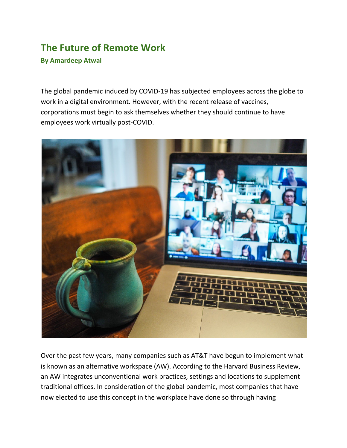## **The Future of Remote Work By Amardeep Atwal**

The global pandemic induced by COVID-19 has subjected employees across the globe to work in a digital environment. However, with the recent release of vaccines, corporations must begin to ask themselves whether they should continue to have employees work virtually post-COVID.



Over the past few years, many companies such as AT&T have begun to implement what is known as an alternative workspace (AW). According to the Harvard Business Review, an AW integrates unconventional work practices, settings and locations to supplement traditional offices. In consideration of the global pandemic, most companies that have now elected to use this concept in the workplace have done so through having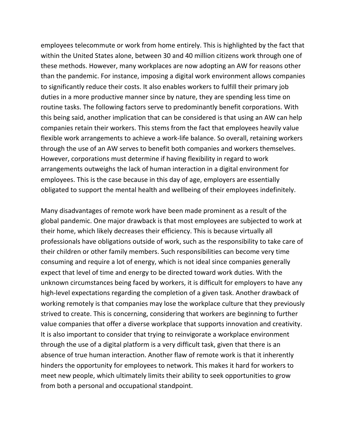employees telecommute or work from home entirely. This is highlighted by the fact that within the United States alone, between 30 and 40 million citizens work through one of these methods. However, many workplaces are now adopting an AW for reasons other than the pandemic. For instance, imposing a digital work environment allows companies to significantly reduce their costs. It also enables workers to fulfill their primary job duties in a more productive manner since by nature, they are spending less time on routine tasks. The following factors serve to predominantly benefit corporations. With this being said, another implication that can be considered is that using an AW can help companies retain their workers. This stems from the fact that employees heavily value flexible work arrangements to achieve a work-life balance. So overall, retaining workers through the use of an AW serves to benefit both companies and workers themselves. However, corporations must determine if having flexibility in regard to work arrangements outweighs the lack of human interaction in a digital environment for employees. This is the case because in this day of age, employers are essentially obligated to support the mental health and wellbeing of their employees indefinitely.

Many disadvantages of remote work have been made prominent as a result of the global pandemic. One major drawback is that most employees are subjected to work at their home, which likely decreases their efficiency. This is because virtually all professionals have obligations outside of work, such as the responsibility to take care of their children or other family members. Such responsibilities can become very time consuming and require a lot of energy, which is not ideal since companies generally expect that level of time and energy to be directed toward work duties. With the unknown circumstances being faced by workers, it is difficult for employers to have any high-level expectations regarding the completion of a given task. Another drawback of working remotely is that companies may lose the workplace culture that they previously strived to create. This is concerning, considering that workers are beginning to further value companies that offer a diverse workplace that supports innovation and creativity. It is also important to consider that trying to reinvigorate a workplace environment through the use of a digital platform is a very difficult task, given that there is an absence of true human interaction. Another flaw of remote work is that it inherently hinders the opportunity for employees to network. This makes it hard for workers to meet new people, which ultimately limits their ability to seek opportunities to grow from both a personal and occupational standpoint.